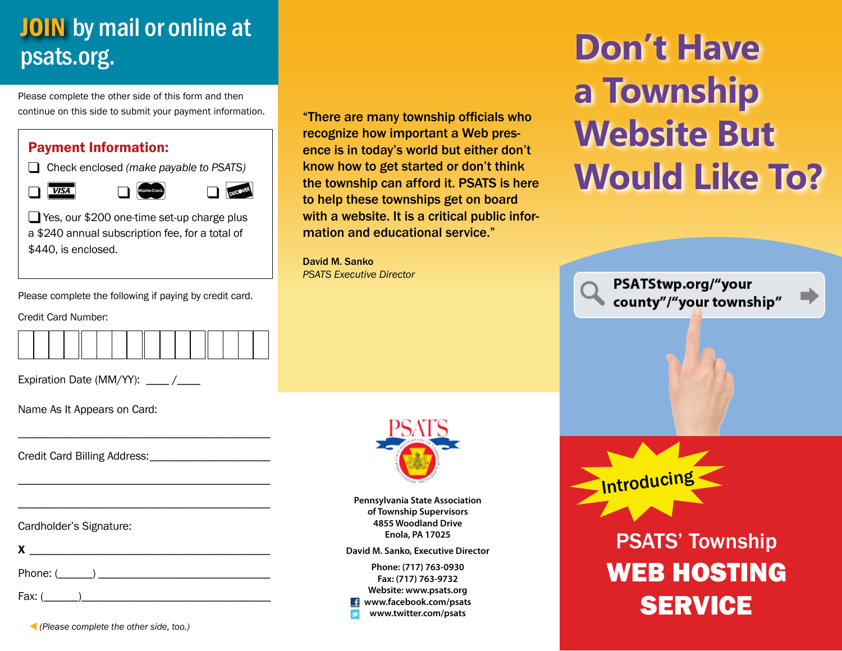# **JOIN** by mail or online at psats.org.

Please complete the other side of this form and then continue on this side to submit your payment information.

### Payment Information:

� Check enclosed *(make payable to PSATS)*

VISA Mastecada De NECONDE

Yes, our \$200 one-time set-up charge plus a \$240 annual subscription fee, for a total of \$440, is enclosed.

"There are many township officials who recognize how important a Web presence is in today's world but either don't know how to get started or don't think the township can afford it. PSATS is here to help these townships get on board with a website. It is a critical public information and educational service."

David M. Sanko *PSATS Executive Director*

# **Don't Have a Township Website But Would Like To?**

PSATStwp.org/"your county"/"your township"

Please complete the following if paying by credit card.

Credit Card Number:

\_\_\_\_\_\_\_\_\_\_\_\_\_\_\_\_\_\_\_\_\_\_\_\_\_\_\_\_\_\_\_\_\_\_\_\_\_\_\_\_\_\_\_\_

\_\_\_\_\_\_\_\_\_\_\_\_\_\_\_\_\_\_\_\_\_\_\_\_\_\_\_\_\_\_\_\_\_\_\_\_\_\_\_\_\_\_\_\_

\_\_\_\_\_\_\_\_\_\_\_\_\_\_\_\_\_\_\_\_\_\_\_\_\_\_\_\_\_\_\_\_\_\_\_\_\_\_\_\_\_\_\_\_

Expiration Date (MM/YY): \_\_\_\_\_ /

Name As It Appears on Card:

Credit Card Billing Address:

Cardholder's Signature:





**Pennsylvania State Association of Township Supervisors 4855 Woodland Drive Enola, PA 17025**

**David M. Sanko, Executive Director**

**Phone: (717) 763-0930 Fax: (717) 763-9732 Website: www.psats.org www.facebook.com/psats www.twitter.com/psats**



PSATS' Township WEB HOSTING **SERVICE** 

� *(Please complete the other side, too.)*